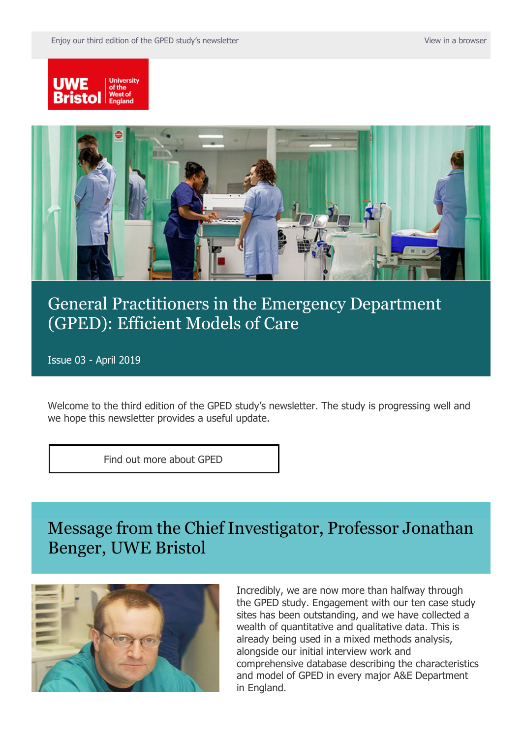



# [General Practitioners in the Emergency Department](https://comms.uwe.ac.uk/t/1HO4-689MH-I4ZGT2-3JXAK9-1/c.aspx)  [\(GPED\): Efficient Models of Care](https://comms.uwe.ac.uk/t/1HO4-689MH-I4ZGT2-3JXAK9-1/c.aspx)

Issue 03 - April 2019

Welcome to the third edition of the GPED study's newsletter. The study is progressing well and we hope this newsletter provides a useful update.

[Find out more about GPED](https://comms.uwe.ac.uk/t/1HO4-689MH-I4ZGT2-3JXAKA-1/c.aspx)

Message from the Chief Investigator, Professor Jonathan Benger, UWE Bristol



Incredibly, we are now more than halfway through the GPED study. Engagement with our ten case study sites has been outstanding, and we have collected a wealth of quantitative and qualitative data. This is already being used in a mixed methods analysis, alongside our initial interview work and comprehensive database describing the characteristics and model of GPED in every major A&E Department in England.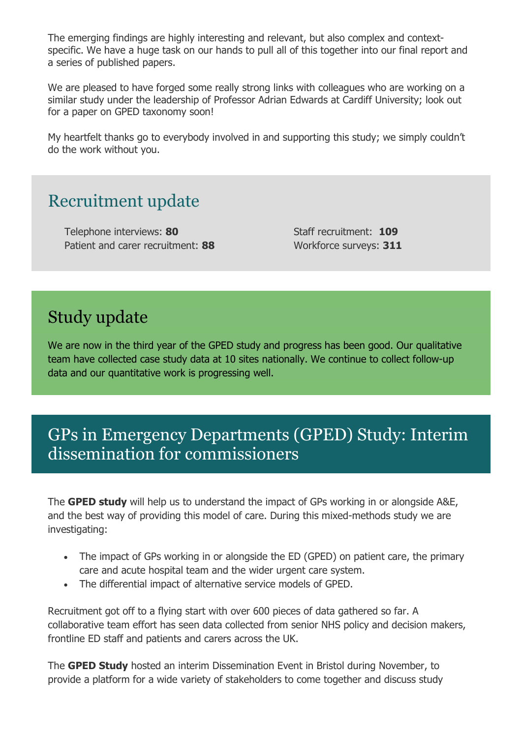The emerging findings are highly interesting and relevant, but also complex and contextspecific. We have a huge task on our hands to pull all of this together into our final report and a series of published papers.

We are pleased to have forged some really strong links with colleagues who are working on a similar study under the leadership of Professor Adrian Edwards at Cardiff University; look out for a paper on GPED taxonomy soon!

My heartfelt thanks go to everybody involved in and supporting this study; we simply couldn't do the work without you.

#### Recruitment update

Telephone interviews: **80** Patient and carer recruitment: **88** Staff recruitment: **109** Workforce surveys: **311**

# Study update

We are now in the third year of the GPED study and progress has been good. Our qualitative team have collected case study data at 10 sites nationally. We continue to collect follow-up data and our quantitative work is progressing well.

## GPs in Emergency Departments (GPED) Study: Interim dissemination for commissioners

The **GPED study** will help us to understand the impact of GPs working in or alongside A&E, and the best way of providing this model of care. During this mixed-methods study we are investigating:

- The impact of GPs working in or alongside the ED (GPED) on patient care, the primary care and acute hospital team and the wider urgent care system.
- The differential impact of alternative service models of GPED.

Recruitment got off to a flying start with over 600 pieces of data gathered so far. A collaborative team effort has seen data collected from senior NHS policy and decision makers, frontline ED staff and patients and carers across the UK.

The **GPED Study** hosted an interim Dissemination Event in Bristol during November, to provide a platform for a wide variety of stakeholders to come together and discuss study